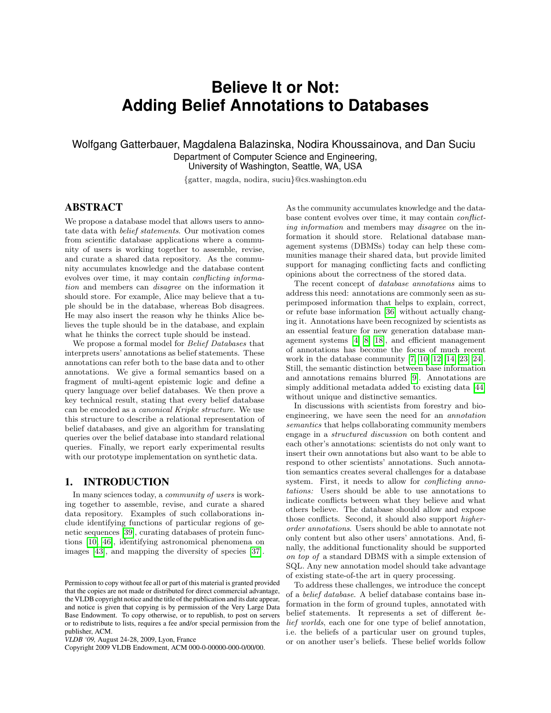# **Believe It or Not: Adding Belief Annotations to Databases**

Wolfgang Gatterbauer, Magdalena Balazinska, Nodira Khoussainova, and Dan Suciu Department of Computer Science and Engineering, University of Washington, Seattle, WA, USA

{gatter, magda, nodira, suciu}@cs.washington.edu

# ABSTRACT

We propose a database model that allows users to annotate data with belief statements. Our motivation comes from scientific database applications where a community of users is working together to assemble, revise, and curate a shared data repository. As the community accumulates knowledge and the database content evolves over time, it may contain conflicting information and members can disagree on the information it should store. For example, Alice may believe that a tuple should be in the database, whereas Bob disagrees. He may also insert the reason why he thinks Alice believes the tuple should be in the database, and explain what he thinks the correct tuple should be instead.

We propose a formal model for Belief Databases that interprets users' annotations as belief statements. These annotations can refer both to the base data and to other annotations. We give a formal semantics based on a fragment of multi-agent epistemic logic and define a query language over belief databases. We then prove a key technical result, stating that every belief database can be encoded as a canonical Kripke structure. We use this structure to describe a relational representation of belief databases, and give an algorithm for translating queries over the belief database into standard relational queries. Finally, we report early experimental results with our prototype implementation on synthetic data.

## 1. INTRODUCTION

In many sciences today, a community of users is working together to assemble, revise, and curate a shared data repository. Examples of such collaborations include identifying functions of particular regions of genetic sequences [\[39\]](#page-11-0), curating databases of protein functions [\[10,](#page-11-1) [46\]](#page-11-2), identifying astronomical phenomena on images [\[43\]](#page-11-3), and mapping the diversity of species [\[37\]](#page-11-4).

Copyright 2009 VLDB Endowment, ACM 000-0-00000-000-0/00/00.

As the community accumulates knowledge and the database content evolves over time, it may contain conflicting information and members may disagree on the information it should store. Relational database management systems (DBMSs) today can help these communities manage their shared data, but provide limited support for managing conflicting facts and conflicting opinions about the correctness of the stored data.

The recent concept of database annotations aims to address this need: annotations are commonly seen as superimposed information that helps to explain, correct, or refute base information [\[36\]](#page-11-5) without actually changing it. Annotations have been recognized by scientists as an essential feature for new generation database management systems [\[4,](#page-11-6) [8,](#page-11-7) [18\]](#page-11-8), and efficient management of annotations has become the focus of much recent work in the database community [\[7,](#page-11-9) [10,](#page-11-1) [12,](#page-11-10) [14,](#page-11-11) [23,](#page-11-12) [24\]](#page-11-13). Still, the semantic distinction between base information and annotations remains blurred [\[9\]](#page-11-14). Annotations are simply additional metadata added to existing data [\[44\]](#page-11-15) without unique and distinctive semantics.

In discussions with scientists from forestry and bioengineering, we have seen the need for an annotation semantics that helps collaborating community members engage in a structured discussion on both content and each other's annotations: scientists do not only want to insert their own annotations but also want to be able to respond to other scientists' annotations. Such annotation semantics creates several challenges for a database system. First, it needs to allow for *conflicting anno*tations: Users should be able to use annotations to indicate conflicts between what they believe and what others believe. The database should allow and expose those conflicts. Second, it should also support higherorder annotations. Users should be able to annotate not only content but also other users' annotations. And, finally, the additional functionality should be supported on top of a standard DBMS with a simple extension of SQL. Any new annotation model should take advantage of existing state-of-the art in query processing.

To address these challenges, we introduce the concept of a belief database. A belief database contains base information in the form of ground tuples, annotated with belief statements. It represents a set of different belief worlds, each one for one type of belief annotation, i.e. the beliefs of a particular user on ground tuples, or on another user's beliefs. These belief worlds follow

Permission to copy without fee all or part of this material is granted provided that the copies are not made or distributed for direct commercial advantage, the VLDB copyright notice and the title of the publication and its date appear, and notice is given that copying is by permission of the Very Large Data Base Endowment. To copy otherwise, or to republish, to post on servers or to redistribute to lists, requires a fee and/or special permission from the publisher, ACM.

*VLDB '09,* August 24-28, 2009, Lyon, France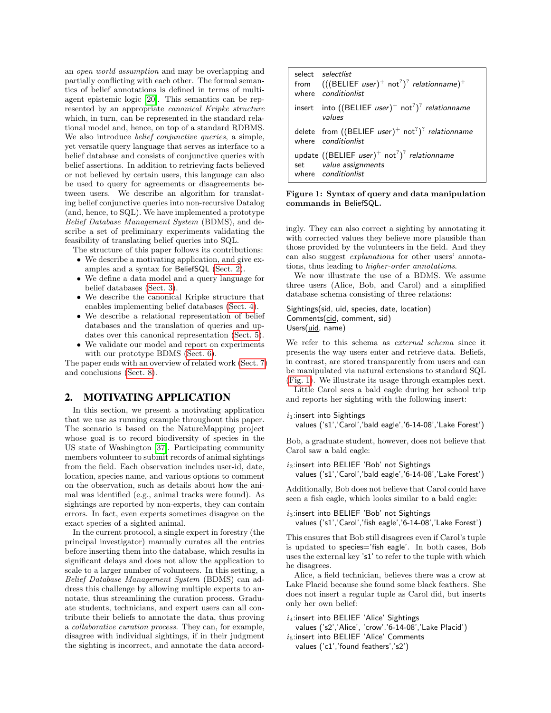an open world assumption and may be overlapping and partially conflicting with each other. The formal semantics of belief annotations is defined in terms of multiagent epistemic logic [\[20\]](#page-11-16). This semantics can be represented by an appropriate canonical Kripke structure which, in turn, can be represented in the standard relational model and, hence, on top of a standard RDBMS. We also introduce belief conjunctive queries, a simple, yet versatile query language that serves as interface to a belief database and consists of conjunctive queries with belief assertions. In addition to retrieving facts believed or not believed by certain users, this language can also be used to query for agreements or disagreements between users. We describe an algorithm for translating belief conjunctive queries into non-recursive Datalog (and, hence, to SQL). We have implemented a prototype Belief Database Management System (BDMS), and describe a set of preliminary experiments validating the feasibility of translating belief queries into SQL.

- The structure of this paper follows its contributions:
	- We describe a motivating application, and give examples and a syntax for BeliefSQL [\(Sect. 2\)](#page-1-0).
	- We define a data model and a query language for belief databases [\(Sect. 3\)](#page-2-0).
	- We describe the canonical Kripke structure that enables implementing belief databases [\(Sect. 4\)](#page-5-0).
	- We describe a relational representation of belief databases and the translation of queries and updates over this canonical representation [\(Sect. 5\)](#page-6-0).
	- We validate our model and report on experiments with our prototype BDMS [\(Sect. 6\)](#page-9-0).

The paper ends with an overview of related work [\(Sect. 7\)](#page-10-0) and conclusions [\(Sect. 8\)](#page-11-17).

## <span id="page-1-0"></span>2. MOTIVATING APPLICATION

In this section, we present a motivating application that we use as running example throughout this paper. The scenario is based on the NatureMapping project whose goal is to record biodiversity of species in the US state of Washington [\[37\]](#page-11-4). Participating community members volunteer to submit records of animal sightings from the field. Each observation includes user-id, date, location, species name, and various options to comment on the observation, such as details about how the animal was identified (e.g., animal tracks were found). As sightings are reported by non-experts, they can contain errors. In fact, even experts sometimes disagree on the exact species of a sighted animal.

In the current protocol, a single expert in forestry (the principal investigator) manually curates all the entries before inserting them into the database, which results in significant delays and does not allow the application to scale to a larger number of volunteers. In this setting, a Belief Database Management System (BDMS) can address this challenge by allowing multiple experts to annotate, thus streamlining the curation process. Graduate students, technicians, and expert users can all contribute their beliefs to annotate the data, thus proving a collaborative curation process. They can, for example, disagree with individual sightings, if in their judgment the sighting is incorrect, and annotate the data accord-

|     | select selectlist<br>from $(((BELIEF user)^+ not^?)^?$ relationname) <sup>+</sup><br>where conditionlist                           |
|-----|------------------------------------------------------------------------------------------------------------------------------------|
|     | insert into ((BELIEF user) <sup>+</sup> not <sup>?</sup> ) <sup>?</sup> relationname<br>values                                     |
|     | delete from ((BELIEF user) <sup>+</sup> not <sup>?</sup> ) <sup>?</sup> relationname<br>where conditionlist                        |
| set | update ((BELIEF user) <sup>+</sup> not <sup>?</sup> ) <sup>?</sup> relationname<br>value assignments<br>where <i>conditionlist</i> |

<span id="page-1-1"></span>Figure 1: Syntax of query and data manipulation commands in BeliefSQL.

ingly. They can also correct a sighting by annotating it with corrected values they believe more plausible than those provided by the volunteers in the field. And they can also suggest explanations for other users' annotations, thus leading to higher-order annotations.

We now illustrate the use of a BDMS. We assume three users (Alice, Bob, and Carol) and a simplified database schema consisting of three relations:

#### Sightings(sid, uid, species, date, location) Comments(cid, comment, sid) Users(uid, name)

We refer to this schema as *external schema* since it presents the way users enter and retrieve data. Beliefs, in contrast, are stored transparently from users and can be manipulated via natural extensions to standard SQL [\(Fig. 1\)](#page-1-1). We illustrate its usage through examples next.

Little Carol sees a bald eagle during her school trip and reports her sighting with the following insert:

 $i_1$ :insert into Sightings

values ('s1','Carol','bald eagle','6-14-08','Lake Forest')

Bob, a graduate student, however, does not believe that Carol saw a bald eagle:

 $i_2$ :insert into BELIEF 'Bob' not Sightings values ('s1','Carol','bald eagle','6-14-08','Lake Forest')

Additionally, Bob does not believe that Carol could have seen a fish eagle, which looks similar to a bald eagle:

 $i_3$ :insert into BELIEF 'Bob' not Sightings values ('s1','Carol','fish eagle','6-14-08','Lake Forest')

This ensures that Bob still disagrees even if Carol's tuple is updated to species='fish eagle'. In both cases, Bob uses the external key 's1' to refer to the tuple with which he disagrees.

Alice, a field technician, believes there was a crow at Lake Placid because she found some black feathers. She does not insert a regular tuple as Carol did, but inserts only her own belief:

 $i_4$ :insert into BELIEF 'Alice' Sightings

values ('s2','Alice', 'crow','6-14-08','Lake Placid')  $i_5$ :insert into BELIEF 'Alice' Comments

values ('c1','found feathers','s2')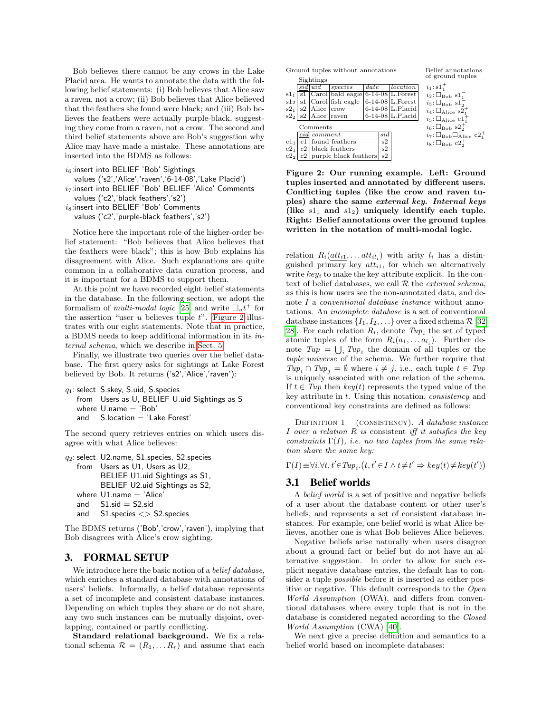Bob believes there cannot be any crows in the Lake Placid area. He wants to annotate the data with the following belief statements: (i) Bob believes that Alice saw a raven, not a crow; (ii) Bob believes that Alice believed that the feathers she found were black; and (iii) Bob believes the feathers were actually purple-black, suggesting they come from a raven, not a crow. The second and third belief statements above are Bob's suggestion why Alice may have made a mistake. These annotations are inserted into the BDMS as follows:

```
i<sub>6</sub>:insert into BELIEF 'Bob' Sightings
  values ('s2','Alice','raven','6-14-08','Lake Placid')
i_7:insert into BELIEF 'Bob' BELIEF 'Alice' Comments
  values ('c2','black feathers','s2')
i_8:insert into BELIEF 'Bob' Comments
  values ('c2','purple-black feathers','s2')
```
Notice here the important role of the higher-order belief statement: "Bob believes that Alice believes that the feathers were black"; this is how Bob explains his disagreement with Alice. Such explanations are quite common in a collaborative data curation process, and it is important for a BDMS to support them.

At this point we have recorded eight belief statements in the database. In the following section, we adopt the formalism of *multi-modal logic* [\[25\]](#page-11-18) and write  $\Box_u t^+$  for the assertion "user  $u$  believes tuple  $t$ ". [Figure 2](#page-2-1) illustrates with our eight statements. Note that in practice, a BDMS needs to keep additional information in its internal schema, which we describe in [Sect. 5.](#page-6-0)

Finally, we illustrate two queries over the belief database. The first query asks for sightings at Lake Forest believed by Bob. It returns ('s2','Alice','raven'):

```
q_1: select S.skey, S.uid, S.species
   from Users as U, BELIEF U.uid Sightings as S
   where U.name = 'Bob'
   and S. location = 'Lake Forest'
```
The second query retrieves entries on which users disagree with what Alice believes:

```
q_2: select U2.name, S1.species, S2.species
   from Users as U1, Users as U2,
         BELIEF U1.uid Sightings as S1,
         BELIEF U2.uid Sightings as S2,
   where U1.name = 'Alice'and S1.sid = S2.sid
   and S1.species <> S2.species
```
The BDMS returns ('Bob','crow','raven'), implying that Bob disagrees with Alice's crow sighting.

## <span id="page-2-0"></span>3. FORMAL SETUP

We introduce here the basic notion of a *belief database*, which enriches a standard database with annotations of users' beliefs. Informally, a belief database represents a set of incomplete and consistent database instances. Depending on which tuples they share or do not share, any two such instances can be mutually disjoint, overlapping, contained or partly conflicting.

Standard relational background. We fix a relational schema  $\mathcal{R} = (R_1, \ldots R_r)$  and assume that each Ground tuples without annotations

|                 |                                      | Sightings             |                                                   |      |                                                |                     | $\sigma$ ground $\sigma$                                       |
|-----------------|--------------------------------------|-----------------------|---------------------------------------------------|------|------------------------------------------------|---------------------|----------------------------------------------------------------|
|                 |                                      | sid uid               | species                                           | date |                                                | location            | $i_1$ : $s1_1^+$                                               |
| $s1_1$          |                                      |                       | s1 $ $ Carol $ $ bald eagle $ 6-14-08 $ L. Forest |      |                                                |                     | $i_2$ : $\square_{\text{Bob}}$ s1 $_1^-$                       |
| s1 <sub>2</sub> |                                      |                       | $s1$ Carol fish eagle                             |      |                                                | $6-14-08$ L. Forest | $i_3$ : $\square_{\text{Bob}}$ $s1_2^-$                        |
| $s2_1$          |                                      | $ s2 $ Alice $ crow$  |                                                   |      |                                                | $6-14-08$ L. Placid | $i_4$ : $\square_{\text{Alice}}$ s2 <sup>+</sup>               |
|                 |                                      | $s2_2$ s2 Alice raven |                                                   |      |                                                | $6-14-08$ L.Placid  | $i_5: \square_{\text{Alice}} c1_1^+$                           |
|                 |                                      | Comments              |                                                   |      |                                                |                     | $i_6: \square_{\text{Bob}} s2_2^+$                             |
|                 |                                      | cid comment           |                                                   |      | $\mathop{sid}\nolimits$                        |                     | $i_7$ : $\Box_{\text{Bob}}\Box_{\text{Alice}}$ c2 <sup>+</sup> |
| c1 <sub>1</sub> | $c1$ found feathers                  |                       | s2                                                |      | $i_8$ : $\square_{\text{Bob}}$ c2 <sup>+</sup> |                     |                                                                |
| $c2_1$          |                                      | c2 black feathers     |                                                   | s2   |                                                |                     |                                                                |
|                 | $c22$   $c2$   purple black feathers |                       |                                                   | s2   |                                                |                     |                                                                |

Belief annotations of ground tuples

<span id="page-2-1"></span>Figure 2: Our running example. Left: Ground tuples inserted and annotated by different users. Conflicting tuples (like the crow and raven tuples) share the same external key. Internal keys (like  $s1_1$  and  $s1_2$ ) uniquely identify each tuple. Right: Belief annotations over the ground tuples written in the notation of multi-modal logic.

relation  $R_i(\underline{att_{i1}}, \ldots att_{il_i})$  with arity  $l_i$  has a distinguished primary key  $att_{i1}$ , for which we alternatively write  $key_i$  to make the key attribute explicit. In the context of belief databases, we call  $R$  the *external schema*, as this is how users see the non-annotated data, and denote I a conventional database instance without annotations. An incomplete database is a set of conventional database instances  $\{I_1, I_2, \ldots\}$  over a fixed schema  $\mathcal{R}$  [\[32,](#page-11-19) [28\]](#page-11-20). For each relation  $R_i$ , denote  $Tup_i$  the set of typed atomic tuples of the form  $R_i(a_1,... a_{l_i})$ . Further denote  $Tup = \bigcup_i Tup_i$  the domain of all tuples or the tuple universe of the schema. We further require that  $Tup_i \cap Tup_j = \emptyset$  where  $i \neq j$ , i.e., each tuple  $t \in Tup$ is uniquely associated with one relation of the schema. If  $t \in Tup$  then  $key(t)$  represents the typed value of the key attribute in t. Using this notation, consistency and conventional key constraints are defined as follows:

DEFINITION 1 (CONSISTENCY). A database instance I over a relation  $R$  is consistent iff it satisfies the key constraints  $\Gamma(I)$ , i.e. no two tuples from the same relation share the same key:

 $\Gamma(I){\equiv}\forall i.\forall t,t' {\in}Tup_i.\left(t,t' {\in} I \wedge t{\neq}t' \Rightarrow key(t){\neq}key(t')\right)$ 

## 3.1 Belief worlds

A belief world is a set of positive and negative beliefs of a user about the database content or other user's beliefs, and represents a set of consistent database instances. For example, one belief world is what Alice believes, another one is what Bob believes Alice believes.

Negative beliefs arise naturally when users disagree about a ground fact or belief but do not have an alternative suggestion. In order to allow for such explicit negative database entries, the default has to consider a tuple *possible* before it is inserted as either positive or negative. This default corresponds to the Open World Assumption (OWA), and differs from conventional databases where every tuple that is not in the database is considered negated according to the Closed World Assumption (CWA) [\[40\]](#page-11-21).

We next give a precise definition and semantics to a belief world based on incomplete databases: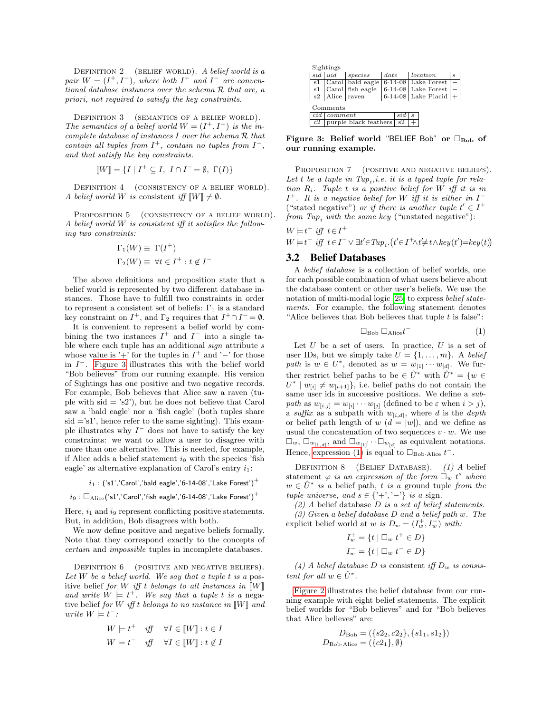DEFINITION 2 (BELIEF WORLD). A belief world is a pair  $W = (I^+, I^-)$ , where both  $I^+$  and  $I^-$  are conventional database instances over the schema R that are, a priori, not required to satisfy the key constraints.

DEFINITION 3 (SEMANTICS OF A BELIEF WORLD). The semantics of a belief world  $W = (I^+, I^-)$  is the incomplete database of instances I over the schema R that contain all tuples from  $I^+$ , contain no tuples from  $I^-$ , and that satisfy the key constraints.

$$
\llbracket W \rrbracket = \{ I \mid I^+ \subseteq I, \ I \cap I^- = \emptyset, \ \Gamma(I) \}
$$

DEFINITION 4 (CONSISTENCY OF A BELIEF WORLD). A belief world W is consistent iff  $\llbracket W \rrbracket \neq \emptyset$ .

PROPOSITION 5 (CONSISTENCY OF A BELIEF WORLD). A belief world W is consistent iff it satisfies the following two constraints:

−

$$
\Gamma_1(W) \equiv \Gamma(I^+)
$$
  

$$
\Gamma_2(W) \equiv \forall t \in I^+ : t \notin I
$$

The above definitions and proposition state that a belief world is represented by two different database instances. Those have to fulfill two constraints in order to represent a consistent set of beliefs:  $\Gamma_1$  is a standard key constraint on  $I^+$ , and  $\Gamma_2$  requires that  $I^+\cap I^-=\emptyset$ .

It is convenient to represent a belief world by combining the two instances  $I^+$  and  $I^-$  into a single table where each tuple has an additional  $sign$  attribute  $s$ whose value is '+' for the tuples in  $I^+$  and '-' for those in  $I^-$ . [Figure 3](#page-3-0) illustrates this with the belief world "Bob believes" from our running example. His version of Sightings has one positive and two negative records. For example, Bob believes that Alice saw a raven (tuple with  $sid = 's2')$ , but he does not believe that Carol saw a 'bald eagle' nor a 'fish eagle' (both tuples share  $sid = 's1'$ , hence refer to the same sighting). This example illustrates why  $I^-$  does not have to satisfy the key constraints: we want to allow a user to disagree with more than one alternative. This is needed, for example, if Alice adds a belief statement  $i<sub>9</sub>$  with the species 'fish eagle' as alternative explanation of Carol's entry  $i_1$ :

$$
i_1: ('s1', 'Carol', 'bald \; eagle', '6-14-08', 'Lake \; Forest')^+
$$

 $i_9 : \square_{\text{Alice}}('s1','\text{Carol}',\text{fish eagle}',\text{'6-14-08}',\text{' Lake Forest}')^+$ 

Here,  $i_1$  and  $i_9$  represent conflicting positive statements. But, in addition, Bob disagrees with both.

We now define positive and negative beliefs formally. Note that they correspond exactly to the concepts of certain and impossible tuples in incomplete databases.

<span id="page-3-2"></span>DEFINITION 6 (POSITIVE AND NEGATIVE BELIEFS). Let W be a belief world. We say that a tuple t is a positive belief for W iff t belongs to all instances in  $\llbracket W \rrbracket$ and write  $W \models t^+$ . We say that a tuple t is a negative belief for W iff t belongs to no instance in  $\llbracket W \rrbracket$  and write  $W \models t^{-}$ :

<span id="page-3-3"></span>
$$
W \models t^+ \quad \text{iff} \quad \forall I \in [W] : t \in I
$$

$$
W \models t^- \quad \text{iff} \quad \forall I \in [W] : t \notin I
$$

|     | Sightings             |                  |      |               |   |                       |   |
|-----|-----------------------|------------------|------|---------------|---|-----------------------|---|
| sid | uid                   | species          | date |               |   | <i>location</i>       | s |
| s1  |                       | Carol bald eagle |      | $6 - 14 - 08$ |   | Lake Forest           |   |
| s1  |                       | Carol fish eagle |      |               |   | $6-14-08$ Lake Forest |   |
| s2  | Alice                 | raven            |      |               |   | 6-14-08 Lake Placid   |   |
|     | Comments              |                  |      |               |   |                       |   |
| cid | comment               |                  |      | sı.d          | s |                       |   |
| c2  | purple black feathers |                  |      | s2            |   |                       |   |
|     |                       |                  |      |               |   |                       |   |

<span id="page-3-0"></span>Figure 3: Belief world "BELIEF Bob" or  $\Box_{\text{Bob}}$  of our running example.

PROPOSITION 7 (POSITIVE AND NEGATIVE BELIEFS). Let t be a tuple in  $Tup_i, i.e.$  it is a typed tuple for relation  $R_i$ . Tuple t is a positive belief for W iff it is in  $I^+$ . It is a negative belief for W iff it is either in  $I^-$ ("stated negative") or if there is another tuple  $t' \in I^+$ from  $Tup_i$  with the same key ("unstated negative"):

$$
W \models t^+ \text{ iff } t \in I^+ W \models t^- \text{ iff } t \in I^- \lor \exists t' \in Tup_i \cdot (t' \in I^+ \land t' \neq t \land key(t') = key(t))
$$

## 3.2 Belief Databases

A belief database is a collection of belief worlds, one for each possible combination of what users believe about the database content or other user's beliefs. We use the notation of multi-modal logic [\[25\]](#page-11-18) to express *belief state*ments. For example, the following statement denotes "Alice believes that Bob believes that tuple  $t$  is false":

<span id="page-3-1"></span>
$$
\Box_{\text{Bob}} \Box_{\text{Alice}} t^{-} \tag{1}
$$

Let  $U$  be a set of users. In practice,  $U$  is a set of user IDs, but we simply take  $U = \{1, \ldots, m\}$ . A belief path is  $w \in U^*$ , denoted as  $w = w_{[1]} \cdots w_{[d]}$ . We further restrict belief paths to be  $\in \hat{U}^*$  with  $\hat{U}^* = \{w \in$  $U^* \mid w_{[i]} \neq w_{[i+1]}$ , i.e. belief paths do not contain the same user ids in successive positions. We define a subpath as  $w_{[i,j]} = w_{[i]} \cdots w_{[j]}$  (defined to be  $\varepsilon$  when  $i > j$ ), a suffix as a subpath with  $w_{[i,d]}$ , where d is the depth or belief path length of  $w$   $(d = |w|)$ , and we define as usual the concatenation of two sequences  $v \cdot w$ . We use  $\Box_w, \Box_{w_{[1,d]}},$  and  $\Box_{w_{[1]}} \cdots \Box_{w_{[d]}}$  as equivalent notations. Hence, [expression \(1\)](#page-3-1) is equal to  $\square_{\text{Bob-Alice}} t^{-}$ .

DEFINITION 8 (BELIEF DATABASE). (1) A belief statement  $\varphi$  is an expression of the form  $\Box_w$   $t^s$  where  $w \in \hat{U}^*$  is a belief path, t is a ground tuple from the tuple universe, and  $s \in \{'+', '-''\}$  is a sign.

 $(2)$  A belief database D is a set of belief statements.

 $(3)$  Given a belief database D and a belief path w. The explicit belief world at w is  $D_w = (I_w^+, I_w^-)$  with:

$$
I_w^+ = \{t \mid \Box_w t^+ \in D\}
$$
  

$$
I_w^- = \{t \mid \Box_w t^- \in D\}
$$

(4) A belief database D is consistent iff  $D_w$  is consistent for all  $w \in \hat{U}^*$ .

[Figure 2](#page-2-1) illustrates the belief database from our running example with eight belief statements. The explicit belief worlds for "Bob believes" and for "Bob believes that Alice believes" are:

$$
D_{\text{Bob}} = (\{s2_2, c2_2\}, \{s1_1, s1_2\})
$$
  

$$
D_{\text{Bob-Alice}} = (\{c2_1\}, \emptyset)
$$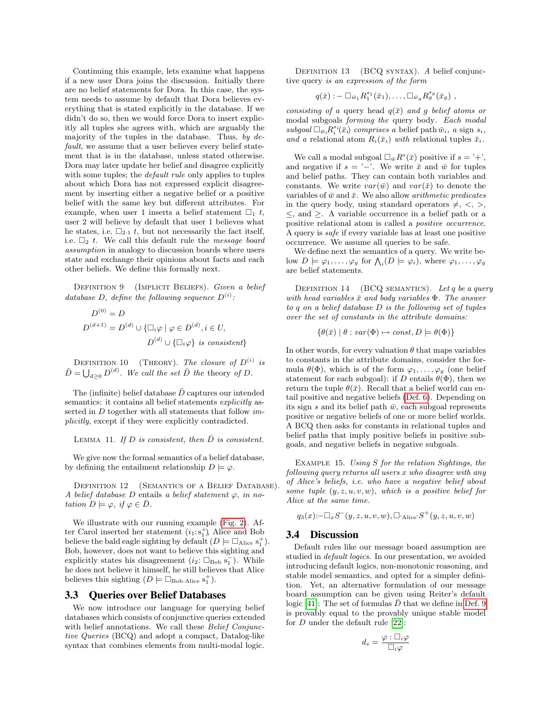Continuing this example, lets examine what happens if a new user Dora joins the discussion. Initially there are no belief statements for Dora. In this case, the system needs to assume by default that Dora believes everything that is stated explicitly in the database. If we didn't do so, then we would force Dora to insert explicitly all tuples she agrees with, which are arguably the majority of the tuples in the database. Thus, by  $de$ fault, we assume that a user believes every belief statement that is in the database, unless stated otherwise. Dora may later update her belief and disagree explicitly with some tuples; the *default rule* only applies to tuples about which Dora has not expressed explicit disagreement by inserting either a negative belief or a positive belief with the same key but different attributes. For example, when user 1 inserts a belief statement  $\square_1$  t, user 2 will believe by default that user 1 believes what he states, i.e.  $\square_{2\cdot1}$  t, but not necessarily the fact itself, i.e.  $\Box$ <sub>2</sub> t. We call this default rule the *message board* assumption in analogy to discussion boards where users state and exchange their opinions about facts and each other beliefs. We define this formally next.

<span id="page-4-0"></span>DEFINITION 9 (IMPLICIT BELIEFS). Given a belief database D, define the following sequence  $D^{(i)}$ :

$$
D^{(0)} = D
$$
  

$$
D^{(d+1)} = D^{(d)} \cup \{\Box_i \varphi \mid \varphi \in D^{(d)}, i \in U,
$$
  

$$
D^{(d)} \cup \{\Box_i \varphi\} \text{ is consistent}\}
$$

DEFINITION 10 (THEORY). The closure of  $D^{(i)}$  is  $\bar{D} = \bigcup_{d \geq 0} D^{(d)}$ . We call the set  $\bar{D}$  the theory of D.

The (infinite) belief database  $\bar{D}$  captures our intended semantics: it contains all belief statements explicitly asserted in  $D$  together with all statements that follow  $im$ plicitly, except if they were explicitly contradicted.

LEMMA 11. If D is consistent, then  $\bar{D}$  is consistent.

We give now the formal semantics of a belief database, by defining the entailment relationship  $D \models \varphi$ .

<span id="page-4-1"></span>DEFINITION 12 (SEMANTICS OF A BELIEF DATABASE). A belief database D entails a belief statement  $\varphi$ , in notation  $D \models \varphi$ , if  $\varphi \in \overline{D}$ .

We illustrate with our running example [\(Fig. 2\)](#page-2-1). After Carol inserted her statement  $(i_1: s_1^+)$ , Alice and Bob believe the bald eagle sighting by default  $(D \models \Box_{\text{Alice}} s_1^+)$ . Bob, however, does not want to believe this sighting and explicitly states his disagreement  $(i_2: \Box_{\text{Bob}} s_1^-)$ . While he does not believe it himself, he still believes that Alice believes this sighting  $(D \models \Box_{\text{Bob-Alice}} s_1^+).$ 

## 3.3 Queries over Belief Databases

<span id="page-4-2"></span>We now introduce our language for querying belief databases which consists of conjunctive queries extended with belief annotations. We call these *Belief Conjunc*tive Queries (BCQ) and adopt a compact, Datalog-like syntax that combines elements from multi-modal logic.

DEFINITION 13 (BCQ SYNTAX). A belief conjunctive query is an expression of the form

$$
q(\bar{x}) : -\Box_{\bar{w}_1} R_1^{s_1}(\bar{x}_1), \ldots, \Box_{\bar{w}_g} R_g^{s_g}(\bar{x}_g) ,
$$

consisting of a query head  $q(\bar{x})$  and g belief atoms or modal subgoals forming the query body. Each modal  $subgoal \Box_{\bar{w}_i} R_i^{s_i}(\bar{x}_i)$  comprises a belief path  $\bar{w}_i$ , a sign  $s_i$ , and a relational atom  $R_i(\bar{x}_i)$  with relational tuples  $\bar{x}_i$ .

We call a modal subgoal  $\Box_{\bar{w}} R^s(\bar{x})$  positive if  $s = '+'$ , and negative if  $s = '−'$ . We write  $\bar{x}$  and  $\bar{w}$  for tuples and belief paths. They can contain both variables and constants. We write  $var(\bar{w})$  and  $var(\bar{x})$  to denote the variables of  $\bar{w}$  and  $\bar{x}$ . We also allow *arithmetic predicates* in the query body, using standard operators  $\neq, \leq, >$ ,  $\leq$ , and  $\geq$ . A variable occurrence in a belief path or a positive relational atom is called a positive occurrence. A query is safe if every variable has at least one positive occurrence. We assume all queries to be safe.

We define next the semantics of a query. We write below  $D \models \varphi_1, \ldots, \varphi_g$  for  $\bigwedge_i (D \models \varphi_i)$ , where  $\varphi_1, \ldots, \varphi_g$ are belief statements.

DEFINITION 14 (BCQ SEMANTICS). Let q be a query with head variables  $\bar{x}$  and body variables  $\Phi$ . The answer to q on a belief database D is the following set of tuples over the set of constants in the attribute domains:

 $\{\theta(\bar{x}) \mid \theta : var(\Phi) \mapsto const, D \models \theta(\Phi)\}\$ 

In other words, for every valuation  $\theta$  that maps variables to constants in the attribute domains, consider the formula  $\theta(\Phi)$ , which is of the form  $\varphi_1, \ldots, \varphi_g$  (one belief statement for each subgoal): if D entails  $\theta(\Phi)$ , then we return the tuple  $\theta(\bar{x})$ . Recall that a belief world can entail positive and negative beliefs [\(Def. 6\)](#page-3-2). Depending on its sign s and its belief path  $\bar{w}$ , each subgoal represents positive or negative beliefs of one or more belief worlds. A BCQ then asks for constants in relational tuples and belief paths that imply positive beliefs in positive subgoals, and negative beliefs in negative subgoals.

EXAMPLE 15. Using  $S$  for the relation Sightings, the following query returns all users x who disagree with any of Alice's beliefs, i.e. who have a negative belief about some tuple  $(y, z, u, v, w)$ , which is a positive belief for Alice at the same time.

$$
q_3(x) \,:\, \square_x S^-(y,z,u,v,w), \square_{\text{Alice}} S^+(y,z,u,v,w)
$$

#### 3.4 Discussion

Default rules like our message board assumption are studied in *default logics*. In our presentation, we avoided introducing default logics, non-monotonic reasoning, and stable model semantics, and opted for a simpler definition. Yet, an alternative formulation of our message board assumption can be given using Reiter's default logic [\[41\]](#page-11-22): The set of formulas  $\bar{D}$  that we define in [Def. 9](#page-4-0) is provably equal to the provably unique stable model for D under the default rule [\[22\]](#page-11-23):

$$
d_s = \frac{\varphi : \Box_i \varphi}{\Box_i \varphi}
$$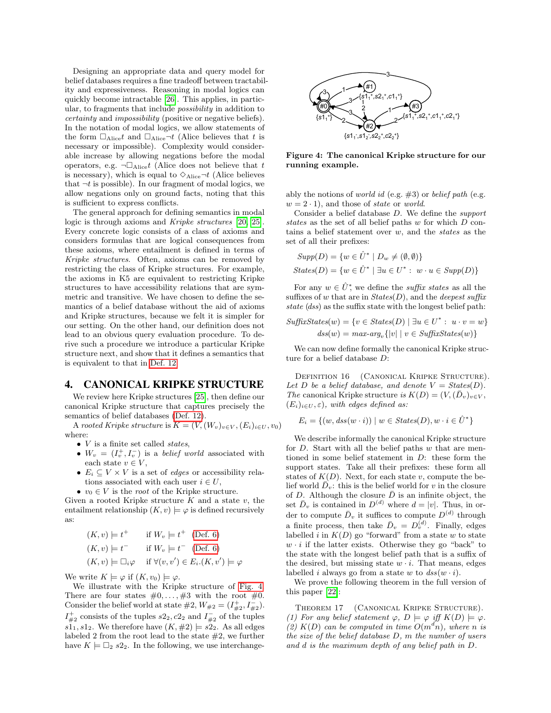Designing an appropriate data and query model for belief databases requires a fine tradeoff between tractability and expressiveness. Reasoning in modal logics can quickly become intractable [\[26\]](#page-11-24). This applies, in particular, to fragments that include possibility in addition to certainty and impossibility (positive or negative beliefs). In the notation of modal logics, we allow statements of the form  $\Box_{\text{Alice}} t$  and  $\Box_{\text{Alice}} \neg t$  (Alice believes that t is necessary or impossible). Complexity would considerable increase by allowing negations before the modal operators, e.g.  $\neg \Box_{\text{Alice}} t$  (Alice does not believe that t is necessary), which is equal to  $\Diamond_{\text{Alice}} \neg t$  (Alice believes that  $\neg t$  is possible). In our fragment of modal logics, we allow negations only on ground facts, noting that this is sufficient to express conflicts.

The general approach for defining semantics in modal logic is through axioms and Kripke structures [\[20,](#page-11-16) [25\]](#page-11-18). Every concrete logic consists of a class of axioms and considers formulas that are logical consequences from these axioms, where entailment is defined in terms of Kripke structures. Often, axioms can be removed by restricting the class of Kripke structures. For example, the axioms in K5 are equivalent to restricting Kripke structures to have accessibility relations that are symmetric and transitive. We have chosen to define the semantics of a belief database without the aid of axioms and Kripke structures, because we felt it is simpler for our setting. On the other hand, our definition does not lead to an obvious query evaluation procedure. To derive such a procedure we introduce a particular Kripke structure next, and show that it defines a semantics that is equivalent to that in [Def. 12.](#page-4-1)

## <span id="page-5-0"></span>4. CANONICAL KRIPKE STRUCTURE

We review here Kripke structures [\[25\]](#page-11-18), then define our canonical Kripke structure that captures precisely the semantics of belief databases [\(Def. 12\)](#page-4-1).

A rooted Kripke structure is  $K = (V,(W_v)_{v \in V}, (E_i)_{i \in U}, v_0)$ where:

- $\bullet$  *V* is a finite set called *states*,
- $W_v = (I_v^+, I_v^-)$  is a *belief world* associated with each state  $v \in V$ ,
- $E_i \subseteq V \times V$  is a set of *edges* or accessibility relations associated with each user  $i \in U$ ,
- $v_0 \in V$  is the *root* of the Kripke structure.

Given a rooted Kripke structure  $K$  and a state  $v$ , the entailment relationship  $(K, v) \models \varphi$  is defined recursively as:

$$
(K, v) \models t^+ \quad \text{if } W_v \models t^+ \quad (\text{Def. 6})
$$
  

$$
(K, v) \models t^- \quad \text{if } W_v \models t^- \quad (\text{Def. 6})
$$
  

$$
(K, v) \models \Box_i \varphi \quad \text{if } \forall (v, v') \in E_i.(K, v') \models \varphi
$$

We write  $K \models \varphi$  if  $(K, v_0) \models \varphi$ .

We illustrate with the Kripke structure of [Fig. 4.](#page-5-1) There are four states  $\#0, \ldots, \#3$  with the root  $\#0$ . Consider the belief world at state  $\#2$ ,  $W_{\#2} = (I_{\#2}^+, I_{\#2}^-).$  $I_{\#2}^+$  consists of the tuples  $s2_2, c2_2$  and  $I_{\#2}^-$  of the tuples  $s1_1, s1_2$ . We therefore have  $(K, \#2) \models s2_2$ . As all edges labeled 2 from the root lead to the state  $#2$ , we further have  $K \models \Box_2$  s2<sub>2</sub>. In the following, we use interchange-



<span id="page-5-1"></span>Figure 4: The canonical Kripke structure for our running example.

ably the notions of *world id* (e.g.  $\#3$ ) or *belief path* (e.g.  $w = 2 \cdot 1$ , and those of state or world.

Consider a belief database D. We define the support states as the set of all belief paths w for which D contains a belief statement over  $w$ , and the *states* as the set of all their prefixes:

$$
Supp(D) = \{w \in \hat{U}^* \mid D_w \neq (\emptyset, \emptyset)\}
$$
  

$$
States(D) = \{w \in \hat{U}^* \mid \exists u \in U^* : w \cdot u \in Supp(D)\}
$$

For any  $w \in \hat{U}^*$ , we define the *suffix states* as all the suffixes of w that are in  $States(D)$ , and the *deepest suffix* state (dss) as the suffix state with the longest belief path:

$$
SuffixStates(w) = \{v \in States(D) \mid \exists u \in U^* : u \cdot v = w\}
$$

$$
dss(w) = max-arg_v\{|v| \mid v \in SuffixStates(w)\}
$$

We can now define formally the canonical Kripke structure for a belief database D:

DEFINITION 16 (CANONICAL KRIPKE STRUCTURE). Let D be a belief database, and denote  $V = \text{States}(D)$ . The canonical Kripke structure is  $K(D) = (V, (\bar{D}_v)_{v \in V},$  $(E_i)_{i \in U}, \varepsilon$ , with edges defined as:

$$
E_i = \{(w, dss(w \cdot i)) \mid w \in \text{States}(D), w \cdot i \in \hat{U}^*\}
$$

We describe informally the canonical Kripke structure for  $D$ . Start with all the belief paths  $w$  that are mentioned in some belief statement in D: these form the support states. Take all their prefixes: these form all states of  $K(D)$ . Next, for each state v, compute the belief world  $\bar{D}_v$ : this is the belief world for v in the closure of D. Although the closure  $\bar{D}$  is an infinite object, the set  $\bar{D}_v$  is contained in  $D^{(d)}$  where  $d = |v|$ . Thus, in order to compute  $\bar{D}_v$  it suffices to compute  $D^{(d)}$  through a finite process, then take  $\bar{D}_v = D_v^{(d)}$ . Finally, edges labelled i in  $K(D)$  go "forward" from a state w to state  $w \cdot i$  if the latter exists. Otherwise they go "back" to the state with the longest belief path that is a suffix of the desired, but missing state  $w \cdot i$ . That means, edges labelled *i* always go from a state w to  $dss(w \cdot i)$ .

We prove the following theorem in the full version of this paper [\[22\]](#page-11-23):

THEOREM 17 (CANONICAL KRIPKE STRUCTURE). (1) For any belief statement  $\varphi$ ,  $D \models \varphi$  iff  $K(D) \models \varphi$ . (2)  $K(D)$  can be computed in time  $O(m^d n)$ , where n is the size of the belief database D, m the number of users and d is the maximum depth of any belief path in D.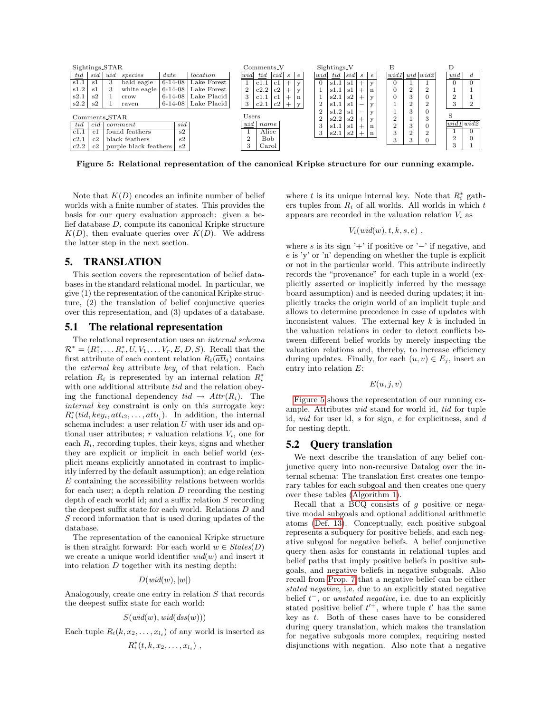

<span id="page-6-1"></span>Figure 5: Relational representation of the canonical Kripke structure for our running example.

Note that  $K(D)$  encodes an infinite number of belief worlds with a finite number of states. This provides the basis for our query evaluation approach: given a belief database D, compute its canonical Kripke structure  $K(D)$ , then evaluate queries over  $K(D)$ . We address the latter step in the next section.

## <span id="page-6-0"></span>5. TRANSLATION

This section covers the representation of belief databases in the standard relational model. In particular, we give (1) the representation of the canonical Kripke structure, (2) the translation of belief conjunctive queries over this representation, and (3) updates of a database.

#### 5.1 The relational representation

The relational representation uses an internal schema  $\mathcal{R}^* = (R_1^*, \dots R_r^*, U, V_1, \dots V_r, E, D, S)$ . Recall that the first attribute of each content relation  $R_i(\overline{att}_i)$  contains the *external key* attribute  $key_i$  of that relation. Each relation  $R_i$  is represented by an internal relation  $R_i^*$ with one additional attribute tid and the relation obeying the functional dependency  $tid \rightarrow Attr(R_i)$ . The internal key constraint is only on this surrogate key:  $R_i^*(\underline{tid}, key_i, att_{i2}, \ldots, att_{l_i})$ . In addition, the internal schema includes: a user relation  $U$  with user ids and optional user attributes; r valuation relations  $V_i$ , one for each  $R_i$ , recording tuples, their keys, signs and whether they are explicit or implicit in each belief world (explicit means explicitly annotated in contrast to implicitly inferred by the default assumption); an edge relation  $E$  containing the accessibility relations between worlds for each user; a depth relation  $D$  recording the nesting depth of each world id; and a suffix relation  $S$  recording the deepest suffix state for each world. Relations D and S record information that is used during updates of the database.

The representation of the canonical Kripke structure is then straight forward: For each world  $w \in \text{States}(D)$ we create a unique world identifier  $wid(w)$  and insert it into relation  $D$  together with its nesting depth:

$$
D(wid(w), |w|)
$$

Analogously, create one entry in relation S that records the deepest suffix state for each world:

$$
S(wid(w), wid(dss(w)))
$$

Each tuple  $R_i(k, x_2, \ldots, x_{l_i})$  of any world is inserted as

$$
R_i^*(t,k,x_2,\ldots,x_{l_i})\ ,
$$

where t is its unique internal key. Note that  $R_i^*$  gathers tuples from  $R_i$  of all worlds. All worlds in which  $t$ appears are recorded in the valuation relation  $V_i$  as

$$
V_i(wid(w), t, k, s, e) ,
$$

where s is its sign '+' if positive or ' $-$ ' if negative, and e is 'y' or 'n' depending on whether the tuple is explicit or not in the particular world. This attribute indirectly records the "provenance" for each tuple in a world (explicitly asserted or implicitly inferred by the message board assumption) and is needed during updates; it implicitly tracks the origin world of an implicit tuple and allows to determine precedence in case of updates with inconsistent values. The external key  $k$  is included in the valuation relations in order to detect conflicts between different belief worlds by merely inspecting the valuation relations and, thereby, to increase efficiency during updates. Finally, for each  $(u, v) \in E_i$ , insert an entry into relation E:

#### $E(u, j, v)$

[Figure 5](#page-6-1) shows the representation of our running example. Attributes wid stand for world id, tid for tuple id, uid for user id, s for sign, e for explicitness, and d for nesting depth.

#### 5.2 Query translation

We next describe the translation of any belief conjunctive query into non-recursive Datalog over the internal schema: The translation first creates one temporary tables for each subgoal and then creates one query over these tables [\(Algorithm 1\)](#page-7-0).

Recall that a BCQ consists of  $g$  positive or negative modal subgoals and optional additional arithmetic atoms [\(Def. 13\)](#page-4-2). Conceptually, each positive subgoal represents a subquery for positive beliefs, and each negative subgoal for negative beliefs. A belief conjunctive query then asks for constants in relational tuples and belief paths that imply positive beliefs in positive subgoals, and negative beliefs in negative subgoals. Also recall from [Prop. 7](#page-3-3) that a negative belief can be either stated negative, i.e. due to an explicitly stated negative belief  $t^-$ , or unstated negative, i.e. due to an explicitly stated positive belief  $t^{+}$ , where tuple t' has the same key as  $t$ . Both of these cases have to be considered during query translation, which makes the translation for negative subgoals more complex, requiring nested disjunctions with negation. Also note that a negative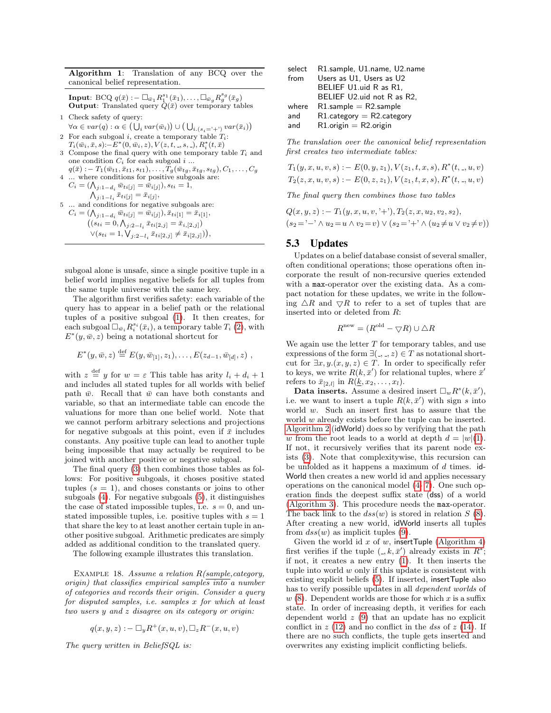Algorithm 1: Translation of any BCQ over the canonical belief representation.

**Input**: BCQ  $q(\bar{x}) := \Box_{\bar{w}_1} R_1^{s_1}(\bar{x}_1), \ldots, \Box_{\bar{w}_g} R_g^{s_g}(\bar{x}_g)$ **Output:** Translated query  $\overline{Q}(\overline{x})$  over temporary tables

- <span id="page-7-1"></span>1 Check safety of query:  $\forall \alpha \in var(q) : \alpha \in (\bigcup_i var(\bar{w}_i)) \cup (\bigcup_{i.(s_i = '+')} var(\bar{x}_i))$
- <span id="page-7-2"></span>2 For each subgoal i, create a temporary table  $T_i$ :  $T_i(\bar{w}_i, \bar{x}, s)$ :− $E^*(0, \bar{w}_i, z)$ ,  $V(z, t, \bar{ }, s, \bar{ }, )$ ,  $R_i^*(t, \bar{x})$
- <span id="page-7-3"></span>3 Compose the final query with one temporary table  $T_i$  and one condition  $C_i$  for each subgoal  $i \dots$  $q(\bar{x}) := T_1(\bar{w}_{t1}, \bar{x}_{t1}, s_{t1}), \ldots, T_g(\bar{w}_{tg}, \bar{x}_{tg}, s_{tg}), C_1, \ldots, C_g$
- <span id="page-7-4"></span>4 ... where conditions for positive subgoals are:

 $C_i = (\bigwedge_{j:1-d_i} \bar{w}_{ti[j]} = \bar{w}_{i[j]}), s_{ti} = 1,$  $\bigwedge_{j:1-l_i} \bar{x}_{ti[j]} = \bar{x}_{i[j]},$ 5 ... and conditions for negative subgoals are:

<span id="page-7-5"></span> $C_i = (\bigwedge_{j:1-d_i} \bar{w}_{ti[j]} = \bar{w}_{i[j]}), \bar{x}_{ti[1]} = \bar{x}_{i[1]},$  $((s_{ti} = 0, \bigwedge_{j:2-l_i} \bar{x}_{ti[2,j]} = \bar{x}_{i,[2,j]})$  $\vee (s_{ti} = 1, \bigvee_{j:2-l_i} \bar{x}_{ti[2,j]} \neq \bar{x}_{i[2,j]})),$ 

subgoal alone is unsafe, since a single positive tuple in a belief world implies negative beliefs for all tuples from the same tuple universe with the same key.

The algorithm first verifies safety: each variable of the query has to appear in a belief path or the relational tuples of a positive subgoal [\(1\)](#page-7-1). It then creates, for  $\text{each subgoal } \Box_{\bar{w}_i} R_i^{s_i}(\bar{x}_i)$ , a temporary table  $T_i$  [\(2\)](#page-7-2), with  $E^*(y, \bar{w}, z)$  being a notational shortcut for

$$
E^*(y, \bar{w}, z) \stackrel{\text{def}}{=} E(y, \bar{w}_{[1]}, z_1), \dots, E(z_{d-1}, \bar{w}_{[d]}, z) ,
$$

with  $z \stackrel{\text{def}}{=} y$  for  $w = \varepsilon$  This table has arity  $l_i + d_i + 1$ and includes all stated tuples for all worlds with belief path  $\bar{w}$ . Recall that  $\bar{w}$  can have both constants and variable, so that an intermediate table can encode the valuations for more than one belief world. Note that we cannot perform arbitrary selections and projections for negative subgoals at this point, even if  $\bar{x}$  includes constants. Any positive tuple can lead to another tuple being impossible that may actually be required to be joined with another positive or negative subgoal.

The final query [\(3\)](#page-7-3) then combines those tables as follows: For positive subgoals, it choses positive stated tuples  $(s = 1)$ , and choses constants or joins to other subgoals [\(4\)](#page-7-4). For negative subgoals [\(5\)](#page-7-5), it distinguishes the case of stated impossible tuples, i.e.  $s = 0$ , and unstated impossible tuples, i.e. positive tuples with  $s = 1$ that share the key to at least another certain tuple in another positive subgoal. Arithmetic predicates are simply added as additional condition to the translated query.

<span id="page-7-0"></span>The following example illustrates this translation.

EXAMPLE 18. Assume a relation  $R(sample, category,$ origin) that classifies empirical samples into a number of categories and records their origin. Consider a query for disputed samples, i.e. samples x for which at least two users y and z disagree on its category or origin:

$$
q(x, y, z) : - \Box_y R^+(x, u, v), \Box_z R^-(x, u, v)
$$

The query written in BeliefSQL is:

| select | R1.sample, U1.name, U2.name  |
|--------|------------------------------|
| from   | Users as U1, Users as U2     |
|        | BELIEF U1.uid R as R1.       |
|        | BELIEF U2.uid not R as R2.   |
| where  | $R1$ .sample = $R2$ .sample  |
| and    | $R1$ .category = R2.category |
| and    | $R1.$ origin = R2.origin     |

The translation over the canonical belief representation first creates two intermediate tables:

$$
T_1(y, x, u, v, s) := E(0, y, z_1), V(z_1, t, x, s), R^*(t, \alpha, u, v)
$$
  

$$
T_2(z, x, u, v, s) := E(0, z, z_1), V(z_1, t, x, s), R^*(t, \alpha, u, v)
$$

The final query then combines those two tables

$$
Q(x, y, z) := T_1(y, x, u, v, ' + '), T_2(z, x, u_2, v_2, s_2),
$$
  

$$
(s_2 = ' - ' \land u_2 = u \land v_2 = v) \lor (s_2 = ' + ' \land (u_2 \neq u \lor v_2 \neq v))
$$

## 5.3 Updates

Updates on a belief database consist of several smaller, often conditional operations; those operations often incorporate the result of non-recursive queries extended with a max-operator over the existing data. As a compact notation for these updates, we write in the following  $\triangle R$  and  $\nabla R$  to refer to a set of tuples that are inserted into or deleted from R:

$$
R^{\text{new}} = (R^{\text{old}} - \nabla R) \cup \triangle R
$$

We again use the letter  $T$  for temporary tables, and use expressions of the form  $\exists (-, \_, z) \in T$  as notational shortcut for  $\exists x, y.(x, y, z) \in T$ . In order to specifically refer to keys, we write  $R(k, \bar{x}')$  for relational tuples, where  $\bar{x}'$ refers to  $\bar{x}_{[2,l]}$  in  $R(\underline{k}, x_2, \ldots, x_l)$ .

Data inserts. Assume a desired insert  $\Box_w R^s(k, \bar{x}'),$ i.e. we want to insert a tuple  $R(k, \bar{x}')$  with sign s into world w. Such an insert first has to assure that the world w already exists before the tuple can be inserted. [Algorithm 2](#page-7-6) (idWorld) does so by verifying that the path w from the root leads to a world at depth  $d = |w|(1)$  $d = |w|(1)$ . If not, it recursively verifies that its parent node exists [\(3\)](#page-8-1). Note that complexitywise, this recursion can be unfolded as it happens a maximum of  $d$  times. id-World then creates a new world id and applies necessary operations on the canonical model [\(4-](#page-8-2) [7\)](#page-8-3). One such operation finds the deepest suffix state (dss) of a world [\(Algorithm 3\)](#page-7-7). This procedure needs the max-operator. The back link to the  $dss(w)$  is stored in relation  $S(8)$  $S(8)$ . After creating a new world, idWorld inserts all tuples from  $dss(w)$  as implicit tuples [\(9\)](#page-8-5).

<span id="page-7-7"></span><span id="page-7-6"></span>Given the world id x of w, insertTuple [\(Algorithm 4\)](#page-8-6) first verifies if the tuple  $(0, k, \bar{x}')$  already exists in  $R^*$ ; if not, it creates a new entry [\(1\)](#page-8-7). It then inserts the tuple into world  $w$  only if this update is consistent with existing explicit beliefs [\(5\)](#page-8-8). If inserted, insertTuple also has to verify possible updates in all dependent worlds of  $w(8)$  $w(8)$ . Dependent worlds are those for which x is a suffix state. In order of increasing depth, it verifies for each dependent world  $z(9)$  $z(9)$  that an update has no explicit conflict in  $z(12)$  $z(12)$  and no conflict in the dss of  $z(14)$  $z(14)$ . If there are no such conflicts, the tuple gets inserted and overwrites any existing implicit conflicting beliefs.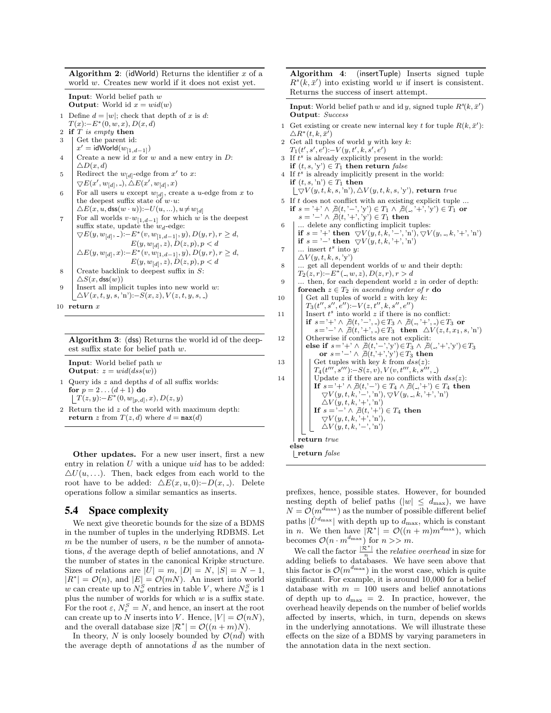Algorithm 2: (idWorld) Returns the identifier  $x$  of a exist yet.

<span id="page-8-2"></span><span id="page-8-1"></span><span id="page-8-0"></span>

|  | world w. Creates new world if it does not exist yet                                                                                                                                                                                                                     |
|--|-------------------------------------------------------------------------------------------------------------------------------------------------------------------------------------------------------------------------------------------------------------------------|
|  | <b>Input:</b> World belief path $w$<br><b>Output:</b> World id $x = \text{wid}(w)$                                                                                                                                                                                      |
|  | 1 Define $d =  w $ ; check that depth of x is d:<br>$T(x) - E^*(0, w, x), D(x, d)$                                                                                                                                                                                      |
|  | 2 if $T$ is empty then                                                                                                                                                                                                                                                  |
|  |                                                                                                                                                                                                                                                                         |
|  | $\begin{array}{ll} 3 & \left  \begin{array}{ll} \text{Get the parent id:} \\ x' = \text{idWorld}(w_{[1,d-1]}) \end{array} \right. \end{array}$                                                                                                                          |
|  | 4 Create a new id x for w and a new entry in $D$ :                                                                                                                                                                                                                      |
|  |                                                                                                                                                                                                                                                                         |
|  |                                                                                                                                                                                                                                                                         |
|  | 5<br>$\overline{\bigvee_{\text{red}}^{L}(x, d)}$<br>Redirect the $w_{[d]}$ -edge from $x'$ to $x$ :<br>$\overline{\bigvee_{\text{red}} E(x', w_{[d]}, \cdot), \triangle E(x', w_{[d]}, x)}$<br>$\overline{\bigvee_{\text{red}} E(x', w_{[d]}, \cdot), \text{create a}}$ |
|  | 6 For all users u except $w_{[d]}$ , create a u-edge from x to<br>the deepest suffix state of $w \cdot u$ :                                                                                                                                                             |
|  |                                                                                                                                                                                                                                                                         |
|  | $\triangle E(x, u, \text{dss}(w \cdot u))$ : $-U(u, )$ , $u \neq w_{[d]}$                                                                                                                                                                                               |
|  |                                                                                                                                                                                                                                                                         |
|  | For all worlds $v \cdot w_{[1,d-1]}$ for which w is the deepest<br>suffix state, update the $w_d$ -edge:                                                                                                                                                                |
|  |                                                                                                                                                                                                                                                                         |

<span id="page-8-3"></span>

| $\big  \ \bigtriangledown E(y,w_{[d]},\_)\mathbin{\raisebox{.3pt}{:}\!=} E^*(v,w_{[1,d-1]},y), D(y,r), r\geq d,$ |
|------------------------------------------------------------------------------------------------------------------|
| $E(y, w_{[d]}, z), D(z, p), p < d$                                                                               |
| $\triangle E(y, w_{[d]}, x)$ :- $E^*(v, w_{[1, d-1]}, y)$ , $D(y, r), r \ge d$ ,                                 |
| $E(y,w_{\lbrack d\rbrack},z),D(z,p),p< d$                                                                        |
| Croate backlink to deepest suffix in S.                                                                          |

- <span id="page-8-4"></span>8 Create backlink to deepest suffix in  $S$ :  $\triangle S(x, \textsf{dss}(w))$ 9 | Insert all implicit tuples into new world  $w$ :
- <span id="page-8-5"></span> $\Delta V(x, t, y, s, 'n')$ :− $S(x, z)$ ,  $V(z, t, y, s, .)$

```
10 return x
```

| Algorithm 3: (dss) Returns the world id of the deep- |  |
|------------------------------------------------------|--|
| est suffix state for belief path $w$ .               |  |

Input: World belief path w **Output**:  $z = \text{wid}(diss(w))$ 

- 1 Query ids  $z$  and depths  $d$  of all suffix worlds: for  $p = 2... (d + 1)$  do  $\hat{T}(z,y)$ :− $E^*(0,w_{[p,d]},x)$ ,  $D(z,y)$
- 2 Return the id z of the world with maximum depth: return z from  $T(z, d)$  where  $d = max(d)$

Other updates. For a new user insert, first a new entry in relation  $U$  with a unique  $uid$  has to be added:  $\Delta U(u, \ldots)$ . Then, back edges from each world to the root have to be added:  $\Delta E(x, u, 0)$ :−D(x, ). Delete operations follow a similar semantics as inserts.

## <span id="page-8-13"></span><span id="page-8-6"></span>5.4 Space complexity

We next give theoretic bounds for the size of a BDMS in the number of tuples in the underlying RDBMS. Let m be the number of users,  $n$  be the number of annotations,  $d$  the average depth of belief annotations, and  $N$ the number of states in the canonical Kripke structure. Sizes of relations are  $|U| = m$ ,  $|D| = N$ ,  $|S| = N - 1$ ,  $|R^*| = \mathcal{O}(n)$ , and  $|E| = \mathcal{O}(mN)$ . An insert into world w can create up to  $N_w^S$  entries in table V, where  $N_w^S$  is 1 plus the number of worlds for which  $w$  is a suffix state. For the root  $\varepsilon$ ,  $N_{\varepsilon}^{S} = N$ , and hence, an insert at the root can create up to N inserts into V. Hence,  $|V| = \mathcal{O}(nN)$ , and the overall database size  $|\mathcal{R}^*| = \mathcal{O}((n+m)N)$ .

In theory, N is only loosely bounded by  $\mathcal{O}(nd)$  with the average depth of annotations  $d$  as the number of

Algorithm 4: (insertTuple) Inserts signed tuple  $R^{s}(k, \bar{x}')$  into existing world w if insert is consistent. Returns the success of insert attempt.

- **Input:** World belief path w and id y, signed tuple  $R^s(k, \bar{x}')$ Output: Success
- <span id="page-8-7"></span>1 Get existing or create new internal key t for tuple  $R(k, \bar{x}')$ :  $\triangle R^{*}(t,k,\bar{x^{\prime}})$
- 2 Get all tuples of world  $y$  with key  $k$ :  $T_1(t',s',e')$ : $-V(y,t',k,s',e')$
- 3 If  $t^s$  is already explicitly present in the world: if  $(t, s, 'y') \in T_1$  then return false  $4$  If  $t^s$  is already implicitly present in the world: if  $(t, s, 'n') \in T_1$  then  $\lfloor \bigtriangledown V(y,t,k,s, \text{'n'}), \bigtriangleup V(y,t,k,s, \text{'y'}),$  return true
- <span id="page-8-8"></span>5 If t does not conflict with an existing explicit tuple ...
- <span id="page-8-11"></span><span id="page-8-10"></span><span id="page-8-9"></span>if  $s = '+' \wedge \nexists (t, '−', 'y') \in T_1 \wedge \nexists (-, '+'', 'y') \in T_1$  or  $s = '-' \wedge \overline{\beta}(t, '+' , 'y') \in T_1$  then 6 ... delete any conflicting implicit tuples: if  $s = '+'$  then  $\bigtriangledown V(y, t, k, '-'', 'n'), \bigtriangledown V(y, \_, k, '+'', 'n')$ if  $s = \{-\}$  then  $\bigtriangledown V(y, t, k, \{-\}, \{n\})$ 7 | ... insert  $t^s$  into y:  $\Delta V(y, t, k, s, 'y')$  $8 \mid ...$  get all dependent worlds of w and their depth:  $T_2(z, r)$ :− $E^*$ (, w, z),  $D(z, r)$ ,  $r > d$  $9 \mid \dots$  then, for each dependent world z in order of depth: foreach  $z \in T_2$  in ascending order of r do 10  $\Box$  Get all tuples of world z with key k:  $T_3(t'', s'', e'')$ :− $V(z, t'', k, s'', e'')$ 11 | Insert  $t^s$  into world z if there is no conflict: if  $s=$ '+' ∧  $\exists (t, '−', ) \in T_3 \land \exists (-, '+', ) \in T_3$  or  $s = ' -' \wedge \overline{\beta}(t, ' +', \overline{.)} \in T_3$  then  $\triangle V(z, t, x_1, s, 'n')$ 12 Otherwise if conflicts are not explicit: else if  $s='+' \wedge \nexists (t,-',y') \in T_3 \wedge \nexists (-,'+',y') \in T_3$ or  $s = ' -' \wedge \overline{\beta}(t, ' +', 'y') \in T_3$  then 13  $\vert$  Get tuples with key k from  $dss(z)$ :  $T_4(t''', s''')$ :−S(z, v), V(v, t''', k, s''', .) 14 | Update z if there are no conflicts with  $dss(z)$ : **If**  $s = ' +' \land \nexists (t, '−') \in T_4 \land \nexists (-, '+) \in T_4$  then  $\nabla V(y, t, k, '–', 'n'), \nabla V(y, \_, k, '+'', 'n')$  $\Delta V(y, t, k, '+, 'n')$ If  $s = '-' \wedge \nexists (t, '+'') \in T_4$  then  $\nabla V(y, t, k, '+, 'n'),$  $\Delta V(y, t, k, '–', 'n')$ return true else return false

<span id="page-8-12"></span>prefixes, hence, possible states. However, for bounded nesting depth of belief paths ( $|w| \leq d_{\text{max}}$ ), we have  $N = \mathcal{O}(m^{d_{\text{max}}})$  as the number of possible different belief paths  $|\hat{U}^{d_{\max}}|$  with depth up to  $d_{\max}$ , which is constant in *n*. We then have  $|\mathcal{R}^*| = \mathcal{O}((n+m)m^{d_{\text{max}}})$ , which becomes  $\mathcal{O}(n \cdot m^{d_{\text{max}}})$  for  $n >> m$ .

We call the factor  $\frac{|\mathcal{R}^*|}{n}$  the *relative overhead* in size for we can the ractor  $\binom{n}{n}$  the retailer overmeat in size for adding beliefs to databases. We have seen above that this factor is  $\mathcal{O}(m^{d_{\text{max}}})$  in the worst case, which is quite significant. For example, it is around 10,000 for a belief database with  $m = 100$  users and belief annotations of depth up to  $d_{\text{max}} = 2$ . In practice, however, the overhead heavily depends on the number of belief worlds affected by inserts, which, in turn, depends on skews in the underlying annotations. We will illustrate these effects on the size of a BDMS by varying parameters in the annotation data in the next section.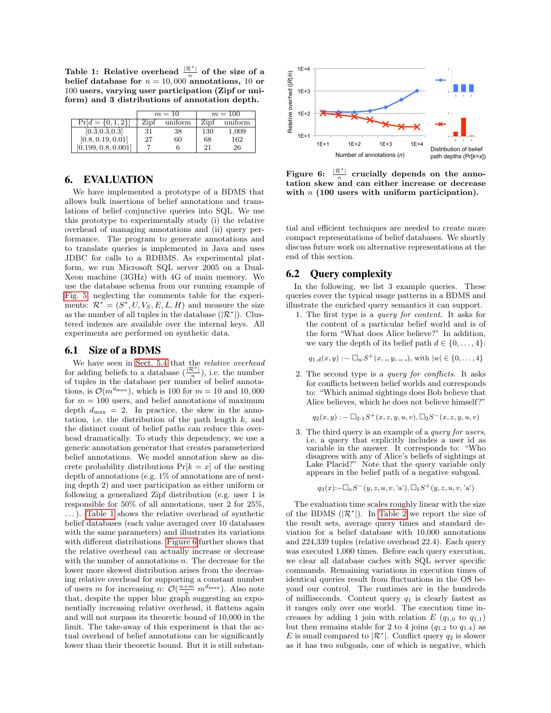<span id="page-9-1"></span>Table 1: Relative overhead  $\frac{|\mathcal{R}^*|}{n}$  of the size of a belief database for  $n = 10,000$  annotations, 10 or 100 users, varying user participation (Zipf or uniform) and 3 distributions of annotation depth. he size d  $\mathbf{e}$  size

|                                   |      | $m=10$  | $m=100$ |         |  |
|-----------------------------------|------|---------|---------|---------|--|
| $\overline{\Pr}[d = \{0, 1, 2\}]$ | Zipf | uniform | Zipf    | uniform |  |
| [0.3, 0.3, 0.3]                   | 31   | 38      | 130     | 1,009   |  |
| [0.8, 0.19, 0.01]                 | 27   | 60      | 68      | 162     |  |
| [0.199, 0.8, 0.001]               |      |         | 21      | 26      |  |

## <span id="page-9-0"></span>6. EVALUATION

We have implemented a prototype of a BDMS that allows bulk insertions of belief annotations and translations of belief conjunctive queries into SQL. We use this prototype to experimentally study (i) the relative overhead of managing annotations and (ii) query performance. The program to generate annotations and to translate queries is implemented in Java and uses JDBC for calls to a RDBMS. As experimental platform, we run Microsoft SQL server 2005 on a Dual-Xeon machine (3GHz) with 4G of main memory. We use the database schema from our running example of [Fig. 5,](#page-6-1) neglecting the comments table for the experiments:  $\mathcal{R}^* = (S^*, U, V_S, E, L, H)$  and measure the size as the number of all tuples in the database  $(|\mathcal{R}^*|)$ . Clustered indexes are available over the internal keys. All experiments are performed on synthetic data.

## 6.1 Size of a BDMS

We have seen in [Sect. 5.4](#page-8-13) that the relative overhead for adding beliefs to a database  $(\frac{|\mathcal{R}^*|}{n})$ , i.e. the number of tuples in the database per number of belief annotations, is  $\mathcal{O}(m^{d_{\text{max}}})$ , which is 100 for  $m = 10$  and 10,000 for  $m = 100$  users, and belief annotations of maximum depth  $d_{\text{max}} = 2$ . In practice, the skew in the annotation, i.e. the distribution of the path length  $k$ , and the distinct count of belief paths can reduce this overhead dramatically. To study this dependency, we use a generic annotation generator that creates parameterized belief annotations. We model annotation skew as discrete probability distributions  $Pr[k = x]$  of the nesting depth of annotations (e.g. 1% of annotations are of nesting depth 2) and user participation as either uniform or following a generalized Zipf distribution (e.g. user 1 is responsible for 50% of all annotations, user 2 for 25%, . . . ). [Table 1](#page-9-1) shows the relative overhead of synthetic belief databases (each value averaged over 10 databases with the same parameters) and illustrates its variations with different distributions. [Figure 6](#page-9-2) further shows that the relative overhead can actually increase or decrease with the number of annotations  $n$ . The decrease for the lower more skewed distribution arises from the decreasing relative overhead for supporting a constant number of users m for increasing n:  $\mathcal{O}(\frac{n+m}{n} m^{d_{\max}})$ . Also note that, despite the upper blue graph suggesting an exponentially increasing relative overhead, it flattens again and will not surpass its theoretic bound of 10,000 in the limit. The take-away of this experiment is that the actual overhead of belief annotations can be significantly lower than their theoretic bound. But it is still substan-



<span id="page-9-2"></span>Figure 6:  $\frac{|\mathcal{R}^*|}{n}$  crucially depends on the annotation skew and can either increase or decrease with  $n$  (100 users with uniform participation).

tial and efficient techniques are needed to create more compact representations of belief databases. We shortly discuss future work on alternative representations at the end of this section.

## 6.2 Query complexity

In the following, we list 3 example queries. These queries cover the typical usage patterns in a BDMS and illustrate the enriched query semantics it can support.

1. The first type is a query for content. It asks for the content of a particular belief world and is of the form "What does Alice believe?" In addition, we vary the depth of its belief path  $d \in \{0, \ldots, 4\}$ :

$$
q_{1,d}(x,y) := \Box_w S^+(x, \_, y, \_, \_),
$$
 with  $|w| \in \{0, \ldots, 4\}$ 

2. The second type is a query for conflicts. It asks for conflicts between belief worlds and corresponds to: "Which animal sightings does Bob believe that Alice believes, which he does not believe himself?"

$$
q_2(x,y) := \Box_{2\cdot 1} S^+(x,z,y,u,v), \Box_2 S^-(x,z,y,u,v)
$$

3. The third query is an example of a query for users, i.e. a query that explicitly includes a user id as variable in the answer. It corresponds to: "Who disagrees with any of Alice's beliefs of sightings at Lake Placid?" Note that the query variable only appears in the belief path of a negative subgoal.

$$
q_3(x) := \Box_x S^{-}(y, z, u, v, 'a'), \Box_1 S^{+}(y, z, u, v, 'a')
$$

The evaluation time scales roughly linear with the size of the BDMS  $(|\mathcal{R}^*|)$ . In [Table 2](#page-10-1) we report the size of the result sets, average query times and standard deviation for a belief database with 10,000 annotations and 224,339 tuples (relative overhead 22.4). Each query was executed 1,000 times. Before each query execution, we clear all database caches with SQL server specific commands. Remaining variations in execution times of identical queries result from fluctuations in the OS beyond our control. The runtimes are in the hundreds of milliseconds. Content query  $q_1$  is clearly fastest as it ranges only over one world. The execution time increases by adding 1 join with relation E  $(q_{1,0}$  to  $q_{1,1})$ but then remains stable for 2 to 4 joins  $(q_{1,2} \text{ to } q_{1,4})$  as E is small compared to  $|\mathcal{R}^*|$ . Conflict query  $q_2$  is slower as it has two subgoals, one of which is negative, which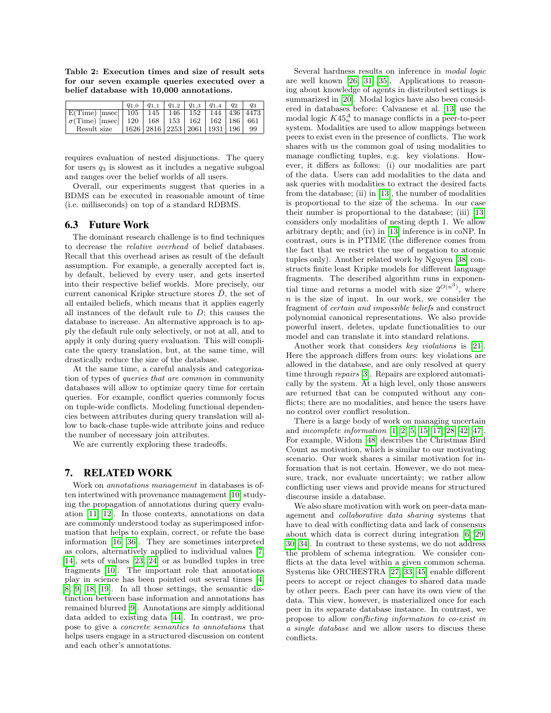<span id="page-10-1"></span>Table 2: Execution times and size of result sets for our seven example queries executed over a belief database with 10,000 annotations.

|                                                                    |                                 | $q_{1,0}$   $q_{1,1}$   $q_{1,2}$   $q_{1,3}$   $q_{1,4}$   $q_2$ |  | $q_3$ |
|--------------------------------------------------------------------|---------------------------------|-------------------------------------------------------------------|--|-------|
| $E(\text{Time})$ [msec]   105   145   146   152   144   436   4473 |                                 |                                                                   |  |       |
| $\sigma$ (Time) [msec]   120   168   153   162   162   186   661   |                                 |                                                                   |  |       |
| Result size                                                        | 1626 2816 2253 2061 1931 196 99 |                                                                   |  |       |

requires evaluation of nested disjunctions. The query for users  $q_3$  is slowest as it includes a negative subgoal and ranges over the belief worlds of all users.

Overall, our experiments suggest that queries in a BDMS can be executed in reasonable amount of time (i.e. milliseconds) on top of a standard RDBMS.

#### 6.3 Future Work

The dominant research challenge is to find techniques to decrease the relative overhead of belief databases. Recall that this overhead arises as result of the default assumption. For example, a generally accepted fact is, by default, believed by every user, and gets inserted into their respective belief worlds. More precisely, our current canonical Kripke structure stores  $D$ , the set of all entailed beliefs, which means that it applies eagerly all instances of the default rule to  $D$ ; this causes the database to increase. An alternative approach is to apply the default rule only selectively, or not at all, and to apply it only during query evaluation. This will complicate the query translation, but, at the same time, will drastically reduce the size of the database.

At the same time, a careful analysis and categorization of types of queries that are common in community databases will allow to optimize query time for certain queries. For example, conflict queries commonly focus on tuple-wide conflicts. Modeling functional dependencies between attributes during query translation will allow to back-chase tuple-wide attribute joins and reduce the number of necessary join attributes.

We are currently exploring these tradeoffs.

#### <span id="page-10-0"></span>7. RELATED WORK

Work on annotations management in databases is often intertwined with provenance management [\[10\]](#page-11-1) studying the propagation of annotations during query evaluation [\[11,](#page-11-25) [12\]](#page-11-10). In those contexts, annotations on data are commonly understood today as superimposed information that helps to explain, correct, or refute the base information [\[16,](#page-11-26) [36\]](#page-11-5). They are sometimes interpreted as colors, alternatively applied to individual values [\[7,](#page-11-9) [14\]](#page-11-11), sets of values [\[23,](#page-11-12) [24\]](#page-11-13) or as bundled tuples in tree fragments [\[10\]](#page-11-1). The important role that annotations play in science has been pointed out several times [\[4,](#page-11-6) [8,](#page-11-7) [9,](#page-11-14) [18,](#page-11-8) [19\]](#page-11-27). In all those settings, the semantic distinction between base information and annotations has remained blurred [\[9\]](#page-11-14). Annotations are simply additional data added to existing data [\[44\]](#page-11-15). In contrast, we propose to give a concrete semantics to annotations that helps users engage in a structured discussion on content and each other's annotations.

Several hardness results on inference in modal logic are well known [\[26,](#page-11-24) [31,](#page-11-28) [35\]](#page-11-29). Applications to reasoning about knowledge of agents in distributed settings is summarized in [\[20\]](#page-11-16). Modal logics have also been considered in databases before: Calvanese et al. [\[13\]](#page-11-30) use the modal logic  $K45<sub>n</sub><sup>A</sup>$  to manage conflicts in a peer-to-peer system. Modalities are used to allow mappings between peers to exist even in the presence of conflicts. The work shares with us the common goal of using modalities to manage conflicting tuples, e.g. key violations. However, it differs as follows: (i) our modalities are part of the data. Users can add modalities to the data and ask queries with modalities to extract the desired facts from the database; (ii) in [\[13\]](#page-11-30), the number of modalities is proportional to the size of the schema. In our case their number is proportional to the database; (iii) [\[13\]](#page-11-30) considers only modalities of nesting depth 1. We allow arbitrary depth; and (iv) in [\[13\]](#page-11-30) inference is in coNP. In contrast, ours is in PTIME (the difference comes from the fact that we restrict the use of negation to atomic tuples only). Another related work by Nguyen [\[38\]](#page-11-31) constructs finite least Kripke models for different language fragments. The described algorithm runs in exponential time and returns a model with size  $2^{O(n^3)}$ , where  $n$  is the size of input. In our work, we consider the fragment of certain and impossible beliefs and construct polynomial canonical representations. We also provide powerful insert, deletes, update functionalities to our model and can translate it into standard relations.

Another work that considers key violations is [\[21\]](#page-11-32). Here the approach differs from ours: key violations are allowed in the database, and are only resolved at query time through repairs [\[3\]](#page-11-33). Repairs are explored automatically by the system. At a high level, only those answers are returned that can be computed without any conflicts; there are no modalities, and hence the users have no control over conflict resolution.

There is a large body of work on managing uncertain and incomplete information [\[1,](#page-11-34) [2,](#page-11-35) [5,](#page-11-36) [15,](#page-11-37) [17,](#page-11-38) [28,](#page-11-20) [42,](#page-11-39) [47\]](#page-11-40). For example, Widom [\[48\]](#page-11-41) describes the Christmas Bird Count as motivation, which is similar to our motivating scenario. Our work shares a similar motivation for information that is not certain. However, we do not measure, track, nor evaluate uncertainty; we rather allow conflicting user views and provide means for structured discourse inside a database.

We also share motivation with work on peer-data management and collaborative data sharing systems that have to deal with conflicting data and lack of consensus about which data is correct during integration [\[6,](#page-11-42) [29,](#page-11-43) [30,](#page-11-44) [34\]](#page-11-45). In contrast to these systems, we do not address the problem of schema integration. We consider conflicts at the data level within a given common schema. Systems like ORCHESTRA [\[27,](#page-11-46) [33,](#page-11-47) [45\]](#page-11-48) enable different peers to accept or reject changes to shared data made by other peers. Each peer can have its own view of the data. This view, however, is materialized once for each peer in its separate database instance. In contrast, we propose to allow conflicting information to co-exist in a single database and we allow users to discuss these conflicts.